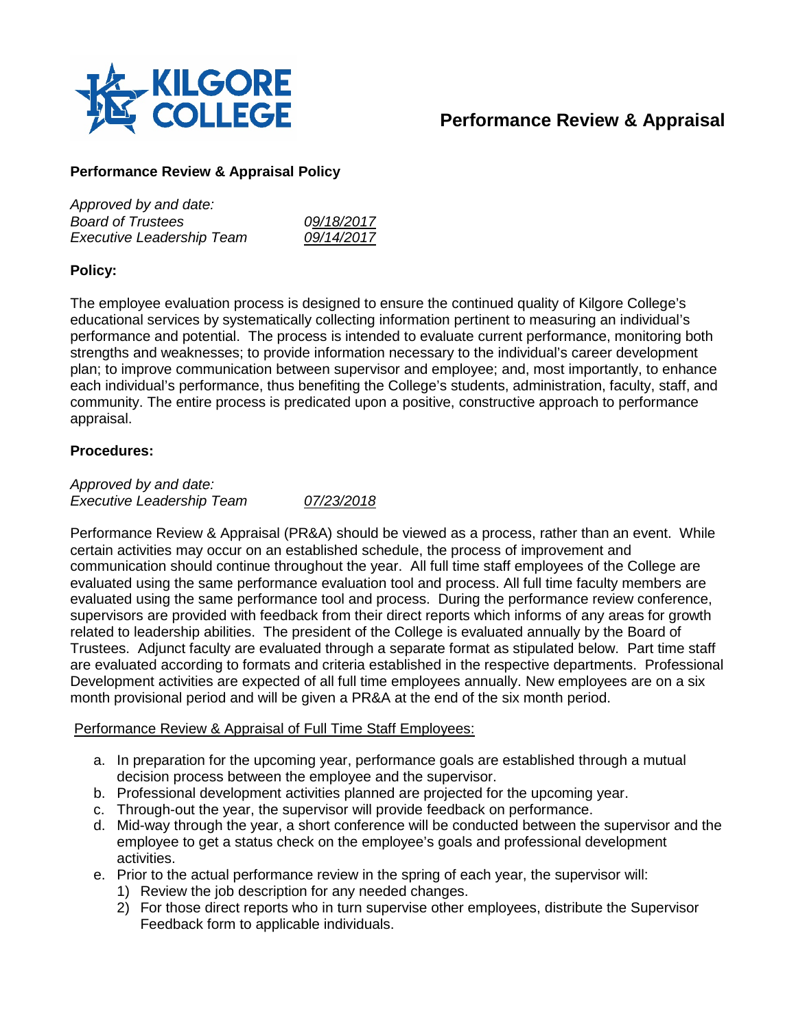

# **Performance Review & Appraisal**

## **Performance Review & Appraisal Policy**

| Approved by and date:            |            |
|----------------------------------|------------|
| <b>Board of Trustees</b>         | 09/18/2017 |
| <b>Executive Leadership Team</b> | 09/14/2017 |

#### **Policy:**

The employee evaluation process is designed to ensure the continued quality of Kilgore College's educational services by systematically collecting information pertinent to measuring an individual's performance and potential. The process is intended to evaluate current performance, monitoring both strengths and weaknesses; to provide information necessary to the individual's career development plan; to improve communication between supervisor and employee; and, most importantly, to enhance each individual's performance, thus benefiting the College's students, administration, faculty, staff, and community. The entire process is predicated upon a positive, constructive approach to performance appraisal.

#### **Procedures:**

*Approved by and date: Executive Leadership Team 07/23/2018*

Performance Review & Appraisal (PR&A) should be viewed as a process, rather than an event. While certain activities may occur on an established schedule, the process of improvement and communication should continue throughout the year. All full time staff employees of the College are evaluated using the same performance evaluation tool and process. All full time faculty members are evaluated using the same performance tool and process. During the performance review conference, supervisors are provided with feedback from their direct reports which informs of any areas for growth related to leadership abilities. The president of the College is evaluated annually by the Board of Trustees. Adjunct faculty are evaluated through a separate format as stipulated below. Part time staff are evaluated according to formats and criteria established in the respective departments. Professional Development activities are expected of all full time employees annually. New employees are on a six month provisional period and will be given a PR&A at the end of the six month period.

#### Performance Review & Appraisal of Full Time Staff Employees:

- a. In preparation for the upcoming year, performance goals are established through a mutual decision process between the employee and the supervisor.
- b. Professional development activities planned are projected for the upcoming year.
- c. Through-out the year, the supervisor will provide feedback on performance.
- d. Mid-way through the year, a short conference will be conducted between the supervisor and the employee to get a status check on the employee's goals and professional development activities.
- e. Prior to the actual performance review in the spring of each year, the supervisor will:
	- 1) Review the job description for any needed changes.
	- 2) For those direct reports who in turn supervise other employees, distribute the Supervisor Feedback form to applicable individuals.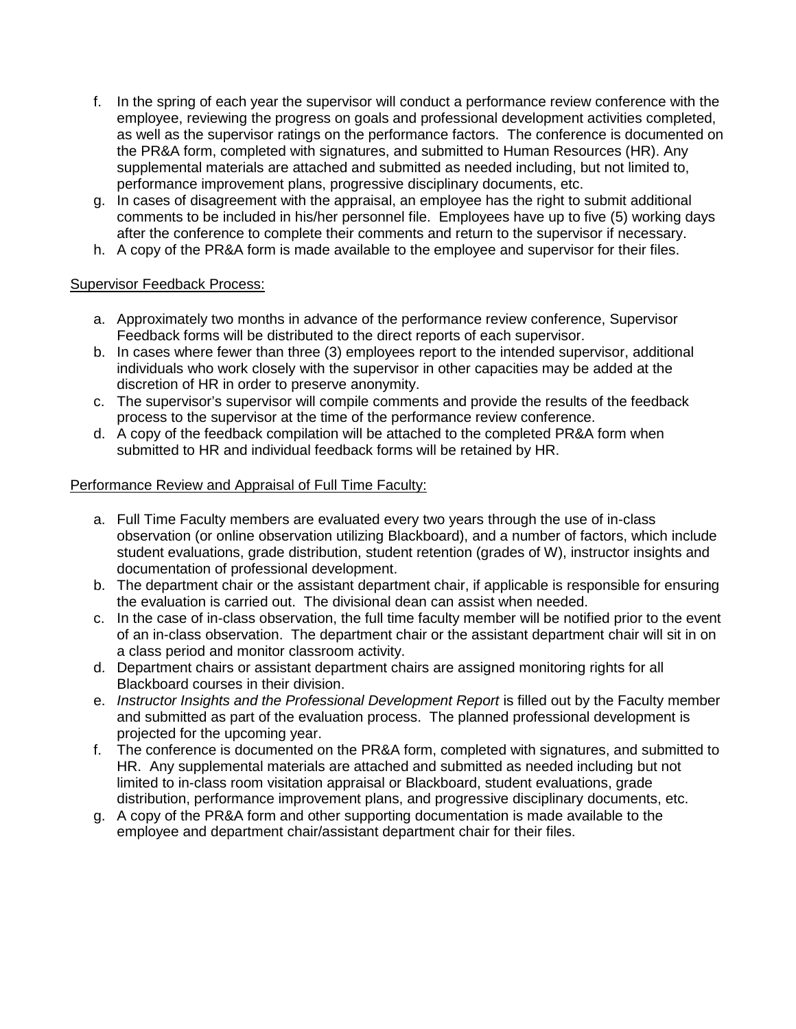- f. In the spring of each year the supervisor will conduct a performance review conference with the employee, reviewing the progress on goals and professional development activities completed, as well as the supervisor ratings on the performance factors. The conference is documented on the PR&A form, completed with signatures, and submitted to Human Resources (HR). Any supplemental materials are attached and submitted as needed including, but not limited to, performance improvement plans, progressive disciplinary documents, etc.
- g. In cases of disagreement with the appraisal, an employee has the right to submit additional comments to be included in his/her personnel file. Employees have up to five (5) working days after the conference to complete their comments and return to the supervisor if necessary.
- h. A copy of the PR&A form is made available to the employee and supervisor for their files.

#### Supervisor Feedback Process:

- a. Approximately two months in advance of the performance review conference, Supervisor Feedback forms will be distributed to the direct reports of each supervisor.
- b. In cases where fewer than three (3) employees report to the intended supervisor, additional individuals who work closely with the supervisor in other capacities may be added at the discretion of HR in order to preserve anonymity.
- c. The supervisor's supervisor will compile comments and provide the results of the feedback process to the supervisor at the time of the performance review conference.
- d. A copy of the feedback compilation will be attached to the completed PR&A form when submitted to HR and individual feedback forms will be retained by HR.

#### Performance Review and Appraisal of Full Time Faculty:

- a. Full Time Faculty members are evaluated every two years through the use of in-class observation (or online observation utilizing Blackboard), and a number of factors, which include student evaluations, grade distribution, student retention (grades of W), instructor insights and documentation of professional development.
- b. The department chair or the assistant department chair, if applicable is responsible for ensuring the evaluation is carried out. The divisional dean can assist when needed.
- c. In the case of in-class observation, the full time faculty member will be notified prior to the event of an in-class observation. The department chair or the assistant department chair will sit in on a class period and monitor classroom activity.
- d. Department chairs or assistant department chairs are assigned monitoring rights for all Blackboard courses in their division.
- e. *Instructor Insights and the Professional Development Report* is filled out by the Faculty member and submitted as part of the evaluation process. The planned professional development is projected for the upcoming year.
- f. The conference is documented on the PR&A form, completed with signatures, and submitted to HR. Any supplemental materials are attached and submitted as needed including but not limited to in-class room visitation appraisal or Blackboard, student evaluations, grade distribution, performance improvement plans, and progressive disciplinary documents, etc.
- g. A copy of the PR&A form and other supporting documentation is made available to the employee and department chair/assistant department chair for their files.